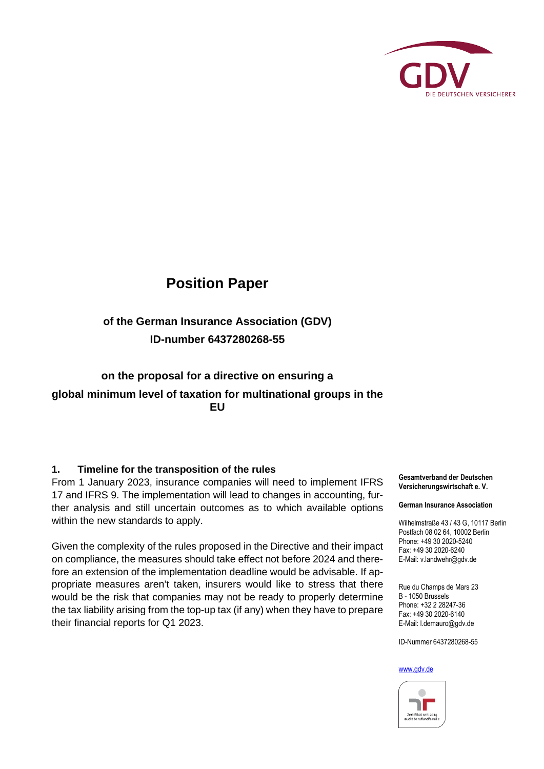

# **Position Paper**

# **of the German Insurance Association (GDV) ID-number 6437280268-55**

## **on the proposal for a directive on ensuring a global minimum level of taxation for multinational groups in the EU**

#### **1. Timeline for the transposition of the rules**

From 1 January 2023, insurance companies will need to implement IFRS 17 and IFRS 9. The implementation will lead to changes in accounting, further analysis and still uncertain outcomes as to which available options within the new standards to apply.

Given the complexity of the rules proposed in the Directive and their impact on compliance, the measures should take effect not before 2024 and therefore an extension of the implementation deadline would be advisable. If appropriate measures aren't taken, insurers would like to stress that there would be the risk that companies may not be ready to properly determine the tax liability arising from the top-up tax (if any) when they have to prepare their financial reports for Q1 2023.

**Gesamtverband der Deutschen Versicherungswirtschaft e. V.** 

#### **German Insurance Association**

Wilhelmstraße 43 / 43 G, 10117 Berlin Postfach 08 02 64, 10002 Berlin Phone: +49 30 2020-5240 Fax: +49 30 2020-6240 E-Mail: v.landwehr@gdv.de

Rue du Champs de Mars 23 B - 1050 Brussels Phone: +32 2 28247-36 Fax: +49 30 2020-6140 E-Mail: l.demauro@gdv.de

ID-Nummer 6437280268-55

#### [www.gdv.de](http://www.gdv.de/)

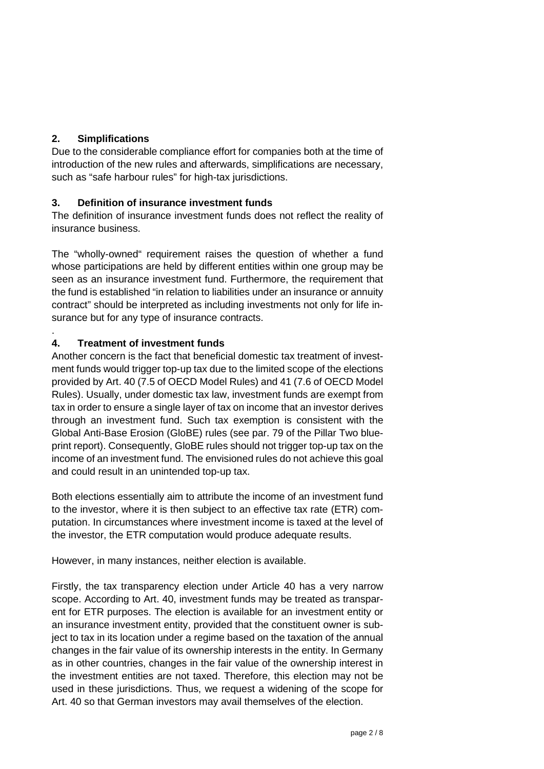### **2. Simplifications**

.

Due to the considerable compliance effort for companies both at the time of introduction of the new rules and afterwards, simplifications are necessary, such as "safe harbour rules" for high-tax jurisdictions.

### **3. Definition of insurance investment funds**

The definition of insurance investment funds does not reflect the reality of insurance business.

The "wholly-owned" requirement raises the question of whether a fund whose participations are held by different entities within one group may be seen as an insurance investment fund. Furthermore, the requirement that the fund is established "in relation to liabilities under an insurance or annuity contract" should be interpreted as including investments not only for life insurance but for any type of insurance contracts.

### **4. Treatment of investment funds**

Another concern is the fact that beneficial domestic tax treatment of investment funds would trigger top-up tax due to the limited scope of the elections provided by Art. 40 (7.5 of OECD Model Rules) and 41 (7.6 of OECD Model Rules). Usually, under domestic tax law, investment funds are exempt from tax in order to ensure a single layer of tax on income that an investor derives through an investment fund. Such tax exemption is consistent with the Global Anti-Base Erosion (GloBE) rules (see par. 79 of the Pillar Two blueprint report). Consequently, GloBE rules should not trigger top-up tax on the income of an investment fund. The envisioned rules do not achieve this goal and could result in an unintended top-up tax.

Both elections essentially aim to attribute the income of an investment fund to the investor, where it is then subject to an effective tax rate (ETR) computation. In circumstances where investment income is taxed at the level of the investor, the ETR computation would produce adequate results.

However, in many instances, neither election is available.

Firstly, the tax transparency election under Article 40 has a very narrow scope. According to Art. 40, investment funds may be treated as transparent for ETR purposes. The election is available for an investment entity or an insurance investment entity, provided that the constituent owner is subject to tax in its location under a regime based on the taxation of the annual changes in the fair value of its ownership interests in the entity. In Germany as in other countries, changes in the fair value of the ownership interest in the investment entities are not taxed. Therefore, this election may not be used in these jurisdictions. Thus, we request a widening of the scope for Art. 40 so that German investors may avail themselves of the election.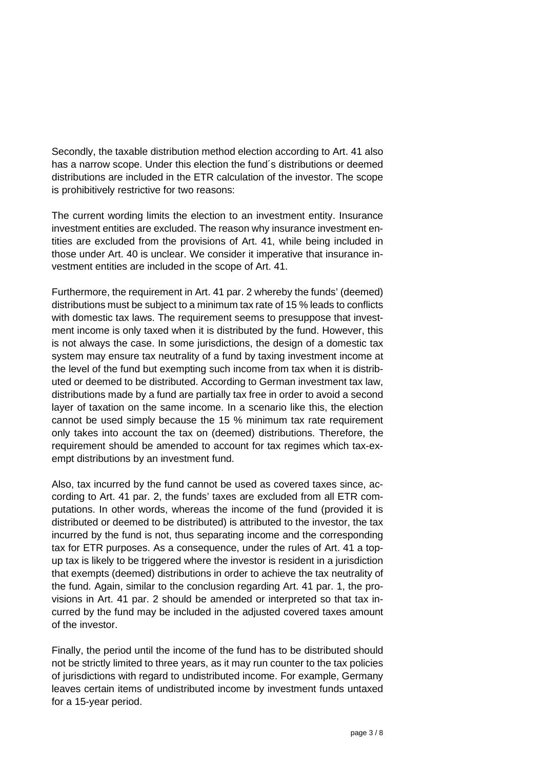Secondly, the taxable distribution method election according to Art. 41 also has a narrow scope. Under this election the fund´s distributions or deemed distributions are included in the ETR calculation of the investor. The scope is prohibitively restrictive for two reasons:

The current wording limits the election to an investment entity. Insurance investment entities are excluded. The reason why insurance investment entities are excluded from the provisions of Art. 41, while being included in those under Art. 40 is unclear. We consider it imperative that insurance investment entities are included in the scope of Art. 41.

Furthermore, the requirement in Art. 41 par. 2 whereby the funds' (deemed) distributions must be subject to a minimum tax rate of 15 % leads to conflicts with domestic tax laws. The requirement seems to presuppose that investment income is only taxed when it is distributed by the fund. However, this is not always the case. In some jurisdictions, the design of a domestic tax system may ensure tax neutrality of a fund by taxing investment income at the level of the fund but exempting such income from tax when it is distributed or deemed to be distributed. According to German investment tax law, distributions made by a fund are partially tax free in order to avoid a second layer of taxation on the same income. In a scenario like this, the election cannot be used simply because the 15 % minimum tax rate requirement only takes into account the tax on (deemed) distributions. Therefore, the requirement should be amended to account for tax regimes which tax-exempt distributions by an investment fund.

Also, tax incurred by the fund cannot be used as covered taxes since, according to Art. 41 par. 2, the funds' taxes are excluded from all ETR computations. In other words, whereas the income of the fund (provided it is distributed or deemed to be distributed) is attributed to the investor, the tax incurred by the fund is not, thus separating income and the corresponding tax for ETR purposes. As a consequence, under the rules of Art. 41 a topup tax is likely to be triggered where the investor is resident in a jurisdiction that exempts (deemed) distributions in order to achieve the tax neutrality of the fund. Again, similar to the conclusion regarding Art. 41 par. 1, the provisions in Art. 41 par. 2 should be amended or interpreted so that tax incurred by the fund may be included in the adjusted covered taxes amount of the investor.

Finally, the period until the income of the fund has to be distributed should not be strictly limited to three years, as it may run counter to the tax policies of jurisdictions with regard to undistributed income. For example, Germany leaves certain items of undistributed income by investment funds untaxed for a 15-year period.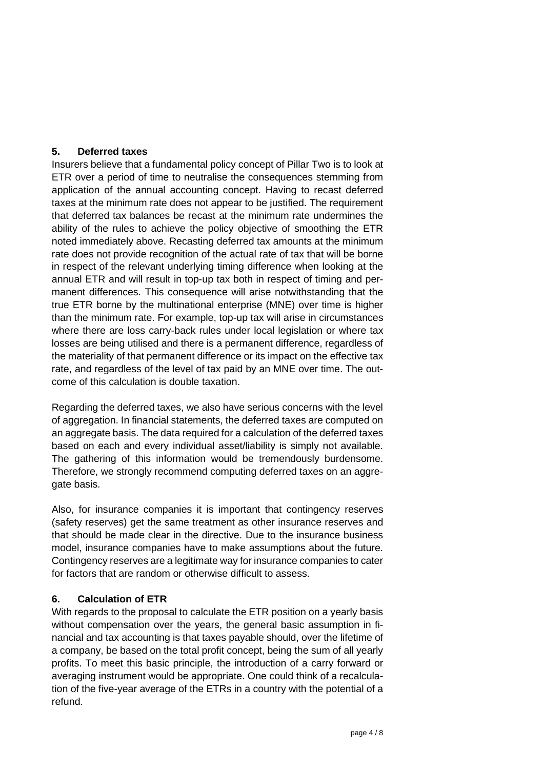#### **5. Deferred taxes**

Insurers believe that a fundamental policy concept of Pillar Two is to look at ETR over a period of time to neutralise the consequences stemming from application of the annual accounting concept. Having to recast deferred taxes at the minimum rate does not appear to be justified. The requirement that deferred tax balances be recast at the minimum rate undermines the ability of the rules to achieve the policy objective of smoothing the ETR noted immediately above. Recasting deferred tax amounts at the minimum rate does not provide recognition of the actual rate of tax that will be borne in respect of the relevant underlying timing difference when looking at the annual ETR and will result in top-up tax both in respect of timing and permanent differences. This consequence will arise notwithstanding that the true ETR borne by the multinational enterprise (MNE) over time is higher than the minimum rate. For example, top-up tax will arise in circumstances where there are loss carry-back rules under local legislation or where tax losses are being utilised and there is a permanent difference, regardless of the materiality of that permanent difference or its impact on the effective tax rate, and regardless of the level of tax paid by an MNE over time. The outcome of this calculation is double taxation.

Regarding the deferred taxes, we also have serious concerns with the level of aggregation. In financial statements, the deferred taxes are computed on an aggregate basis. The data required for a calculation of the deferred taxes based on each and every individual asset/liability is simply not available. The gathering of this information would be tremendously burdensome. Therefore, we strongly recommend computing deferred taxes on an aggregate basis.

Also, for insurance companies it is important that contingency reserves (safety reserves) get the same treatment as other insurance reserves and that should be made clear in the directive. Due to the insurance business model, insurance companies have to make assumptions about the future. Contingency reserves are a legitimate way for insurance companies to cater for factors that are random or otherwise difficult to assess.

#### **6. Calculation of ETR**

With regards to the proposal to calculate the ETR position on a yearly basis without compensation over the years, the general basic assumption in financial and tax accounting is that taxes payable should, over the lifetime of a company, be based on the total profit concept, being the sum of all yearly profits. To meet this basic principle, the introduction of a carry forward or averaging instrument would be appropriate. One could think of a recalculation of the five-year average of the ETRs in a country with the potential of a refund.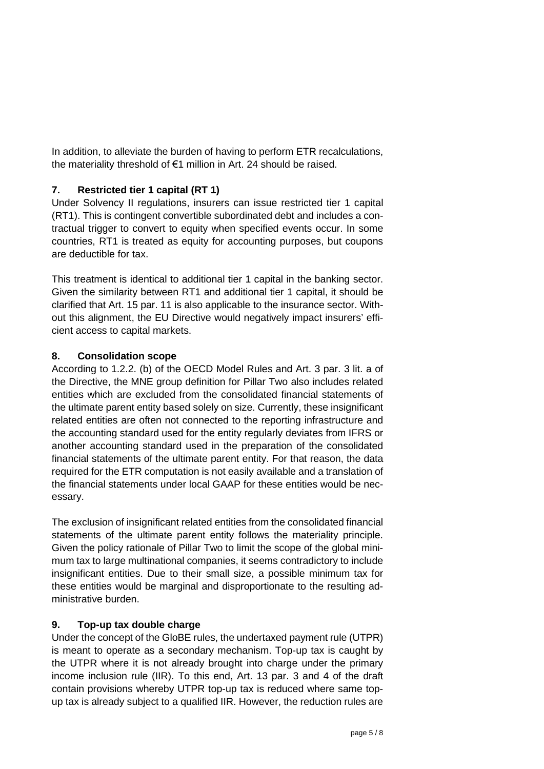In addition, to alleviate the burden of having to perform ETR recalculations, the materiality threshold of €1 million in Art. 24 should be raised.

#### **7. Restricted tier 1 capital (RT 1)**

Under Solvency II regulations, insurers can issue restricted tier 1 capital (RT1). This is contingent convertible subordinated debt and includes a contractual trigger to convert to equity when specified events occur. In some countries, RT1 is treated as equity for accounting purposes, but coupons are deductible for tax.

This treatment is identical to additional tier 1 capital in the banking sector. Given the similarity between RT1 and additional tier 1 capital, it should be clarified that Art. 15 par. 11 is also applicable to the insurance sector. Without this alignment, the EU Directive would negatively impact insurers' efficient access to capital markets.

#### **8. Consolidation scope**

According to 1.2.2. (b) of the OECD Model Rules and Art. 3 par. 3 lit. a of the Directive, the MNE group definition for Pillar Two also includes related entities which are excluded from the consolidated financial statements of the ultimate parent entity based solely on size. Currently, these insignificant related entities are often not connected to the reporting infrastructure and the accounting standard used for the entity regularly deviates from IFRS or another accounting standard used in the preparation of the consolidated financial statements of the ultimate parent entity. For that reason, the data required for the ETR computation is not easily available and a translation of the financial statements under local GAAP for these entities would be necessary.

The exclusion of insignificant related entities from the consolidated financial statements of the ultimate parent entity follows the materiality principle. Given the policy rationale of Pillar Two to limit the scope of the global minimum tax to large multinational companies, it seems contradictory to include insignificant entities. Due to their small size, a possible minimum tax for these entities would be marginal and disproportionate to the resulting administrative burden.

#### **9. Top-up tax double charge**

Under the concept of the GloBE rules, the undertaxed payment rule (UTPR) is meant to operate as a secondary mechanism. Top-up tax is caught by the UTPR where it is not already brought into charge under the primary income inclusion rule (IIR). To this end, Art. 13 par. 3 and 4 of the draft contain provisions whereby UTPR top-up tax is reduced where same topup tax is already subject to a qualified IIR. However, the reduction rules are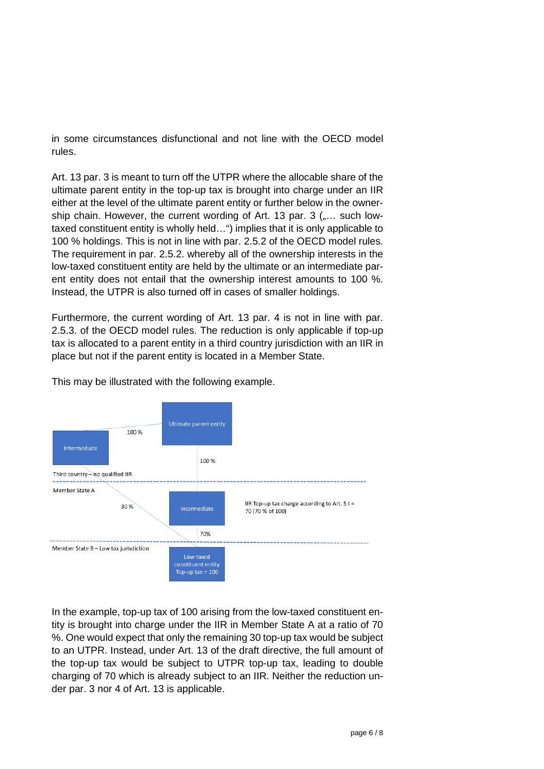in some circumstances disfunctional and not line with the OECD model rules.

Art. 13 par. 3 is meant to turn off the UTPR where the allocable share of the ultimate parent entity in the top-up tax is brought into charge under an IIR either at the level of the ultimate parent entity or further below in the ownership chain. However, the current wording of Art. 13 par. 3 (.... such lowtaxed constituent entity is wholly held…") implies that it is only applicable to 100 % holdings. This is not in line with par. 2.5.2 of the OECD model rules. The requirement in par. 2.5.2. whereby all of the ownership interests in the low-taxed constituent entity are held by the ultimate or an intermediate parent entity does not entail that the ownership interest amounts to 100 %. Instead, the UTPR is also turned off in cases of smaller holdings.

Furthermore, the current wording of Art. 13 par. 4 is not in line with par. 2.5.3. of the OECD model rules. The reduction is only applicable if top-up tax is allocated to a parent entity in a third country jurisdiction with an IIR in place but not if the parent entity is located in a Member State.



This may be illustrated with the following example.

In the example, top-up tax of 100 arising from the low-taxed constituent entity is brought into charge under the IIR in Member State A at a ratio of 70 %. One would expect that only the remaining 30 top-up tax would be subject to an UTPR. Instead, under Art. 13 of the draft directive, the full amount of the top-up tax would be subject to UTPR top-up tax, leading to double charging of 70 which is already subject to an IIR. Neither the reduction under par. 3 nor 4 of Art. 13 is applicable.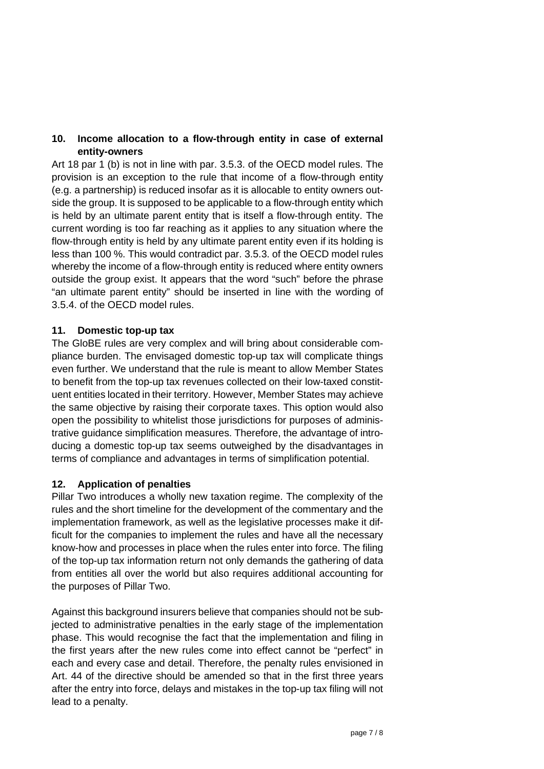#### **10. Income allocation to a flow-through entity in case of external entity-owners**

Art 18 par 1 (b) is not in line with par. 3.5.3. of the OECD model rules. The provision is an exception to the rule that income of a flow-through entity (e.g. a partnership) is reduced insofar as it is allocable to entity owners outside the group. It is supposed to be applicable to a flow-through entity which is held by an ultimate parent entity that is itself a flow-through entity. The current wording is too far reaching as it applies to any situation where the flow-through entity is held by any ultimate parent entity even if its holding is less than 100 %. This would contradict par. 3.5.3. of the OECD model rules whereby the income of a flow-through entity is reduced where entity owners outside the group exist. It appears that the word "such" before the phrase "an ultimate parent entity" should be inserted in line with the wording of 3.5.4. of the OECD model rules.

#### **11. Domestic top-up tax**

The GloBE rules are very complex and will bring about considerable compliance burden. The envisaged domestic top-up tax will complicate things even further. We understand that the rule is meant to allow Member States to benefit from the top-up tax revenues collected on their low-taxed constituent entities located in their territory. However, Member States may achieve the same objective by raising their corporate taxes. This option would also open the possibility to whitelist those jurisdictions for purposes of administrative guidance simplification measures. Therefore, the advantage of introducing a domestic top-up tax seems outweighed by the disadvantages in terms of compliance and advantages in terms of simplification potential.

#### **12. Application of penalties**

Pillar Two introduces a wholly new taxation regime. The complexity of the rules and the short timeline for the development of the commentary and the implementation framework, as well as the legislative processes make it difficult for the companies to implement the rules and have all the necessary know-how and processes in place when the rules enter into force. The filing of the top-up tax information return not only demands the gathering of data from entities all over the world but also requires additional accounting for the purposes of Pillar Two.

Against this background insurers believe that companies should not be subjected to administrative penalties in the early stage of the implementation phase. This would recognise the fact that the implementation and filing in the first years after the new rules come into effect cannot be "perfect" in each and every case and detail. Therefore, the penalty rules envisioned in Art. 44 of the directive should be amended so that in the first three years after the entry into force, delays and mistakes in the top-up tax filing will not lead to a penalty.